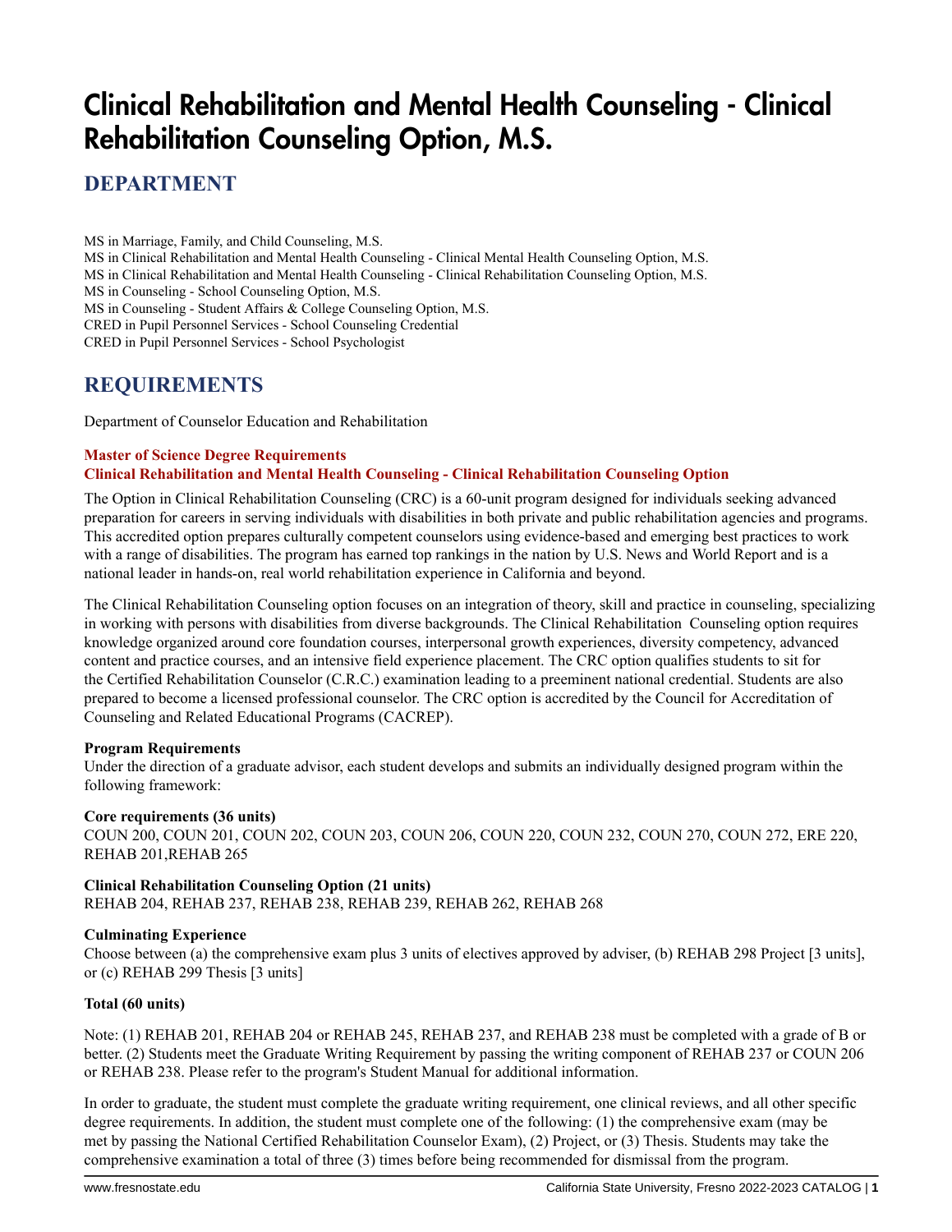# Clinical Rehabilitation and Mental Health Counseling - Clinical Rehabilitation Counseling Option, M.S.

**DEPARTMENT**

MS in Marriage, Family, and Child Counseling, M.S. MS in Clinical Rehabilitation and Mental Health Counseling - Clinical Mental Health Counseling Option, M.S. MS in Clinical Rehabilitation and Mental Health Counseling - Clinical Rehabilitation Counseling Option, M.S. MS in Counseling - School Counseling Option, M.S. MS in Counseling - Student Affairs & College Counseling Option, M.S. CRED in Pupil Personnel Services - School Counseling Credential CRED in Pupil Personnel Services - School Psychologist

## **REQUIREMENTS**

Department of Counselor Education and Rehabilitation

#### **Master of Science Degree Requirements Clinical Rehabilitation and Mental Health Counseling - Clinical Rehabilitation Counseling Option**

The Option in Clinical Rehabilitation Counseling (CRC) is a 60-unit program designed for individuals seeking advanced preparation for careers in serving individuals with disabilities in both private and public rehabilitation agencies and programs. This accredited option prepares culturally competent counselors using evidence-based and emerging best practices to work with a range of disabilities. The program has earned top rankings in the nation by U.S. News and World Report and is a national leader in hands-on, real world rehabilitation experience in California and beyond.

The Clinical Rehabilitation Counseling option focuses on an integration of theory, skill and practice in counseling, specializing in working with persons with disabilities from diverse backgrounds. The Clinical Rehabilitation Counseling option requires knowledge organized around core foundation courses, interpersonal growth experiences, diversity competency, advanced content and practice courses, and an intensive field experience placement. The CRC option qualifies students to sit for the Certified Rehabilitation Counselor (C.R.C.) examination leading to a preeminent national credential. Students are also prepared to become a licensed professional counselor. The CRC option is accredited by the Council for Accreditation of Counseling and Related Educational Programs (CACREP).

### **Program Requirements**

Under the direction of a graduate advisor, each student develops and submits an individually designed program within the following framework:

### **Core requirements (36 units)**

COUN 200, COUN 201, COUN 202, COUN 203, COUN 206, COUN 220, COUN 232, COUN 270, COUN 272, ERE 220, REHAB 201,REHAB 265

### **Clinical Rehabilitation Counseling Option (21 units)**

REHAB 204, REHAB 237, REHAB 238, REHAB 239, REHAB 262, REHAB 268

### **Culminating Experience**

Choose between (a) the comprehensive exam plus 3 units of electives approved by adviser, (b) REHAB 298 Project [3 units], or (c) REHAB 299 Thesis [3 units]

### **Total (60 units)**

Note: (1) REHAB 201, REHAB 204 or REHAB 245, REHAB 237, and REHAB 238 must be completed with a grade of B or better. (2) Students meet the Graduate Writing Requirement by passing the writing component of REHAB 237 or COUN 206 or REHAB 238. Please refer to the program's Student Manual for additional information.

In order to graduate, the student must complete the graduate writing requirement, one clinical reviews, and all other specific degree requirements. In addition, the student must complete one of the following: (1) the comprehensive exam (may be met by passing the National Certified Rehabilitation Counselor Exam), (2) Project, or (3) Thesis. Students may take the comprehensive examination a total of three (3) times before being recommended for dismissal from the program.